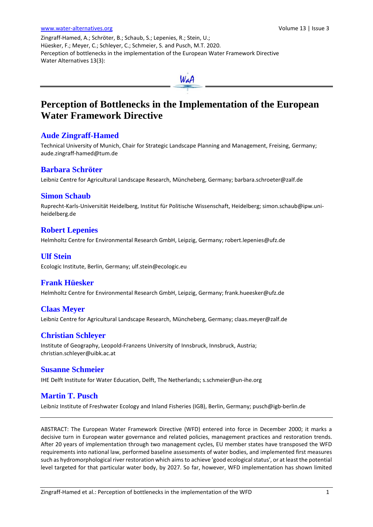Zingraff-Hamed, A.; Schröter, B.; Schaub, S.; Lepenies, R.; Stein, U.; Hüesker, F.; Meyer, C.; Schleyer, C.; Schmeier, S. and Pusch, M.T. 2020. Perception of bottlenecks in the implementation of the European Water Framework Directive Water Alternatives 13(3):



# **Perception of Bottlenecks in the Implementation of the European Water Framework Directive**

# **Aude Zingraff-Hamed**

Technical University of Munich, Chair for Strategic Landscape Planning and Management, Freising, Germany; [aude.zingraff-hamed@tum.de](mailto:aude.zingraff-hamed@tum.de)

# **Barbara Schröter**

Leibniz Centre for Agricultural Landscape Research, Müncheberg, Germany; barbara.schroeter@zalf.de

## **Simon Schaub**

Ruprecht-Karls-Universität Heidelberg, Institut für Politische Wissenschaft, Heidelberg; [simon.schaub@ipw.uni](mailto:simon.schaub@ipw.uni-heidelberg.de)[heidelberg.de](mailto:simon.schaub@ipw.uni-heidelberg.de)

## **Robert Lepenies**

Helmholtz Centre for Environmental Research GmbH, Leipzig, Germany; [robert.lepenies@ufz.de](mailto:Robert.Lepenies@ufz.de)

# **Ulf Stein**

Ecologic Institute, Berlin, Germany[; ulf.stein@ecologic.eu](mailto:ulf.stein@ecologic.eu)

# **Frank Hüesker**

Helmholtz Centre for Environmental Research GmbH, Leipzig, Germany; [frank.hueesker@ufz.de](mailto:frank.hueesker@ufz.de)

## **Claas Meyer**

Leibniz Centre for Agricultural Landscape Research, Müncheberg, Germany[; claas.meyer@zalf.de](mailto:Claas.meyer@zalf.de)

# **Christian Schleyer**

Institute of Geography, Leopold-Franzens University of Innsbruck, Innsbruck, Austria; christian[.schleyer@uibk.ac.at](mailto:schleyer@uni-kassel.de)

## **Susanne Schmeier**

IHE Delft Institute for Water Education, Delft, The Netherlands[; s.schmeier@un-ihe.org](mailto:s.schmeier@un-ihe.org)

# **Martin T. Pusch**

Leibniz Institute of Freshwater Ecology and Inland Fisheries (IGB), Berlin, Germany[; pusch@igb-berlin.de](mailto:pusch@igb-berlin.de)

ABSTRACT: The European Water Framework Directive (WFD) entered into force in December 2000; it marks a decisive turn in European water governance and related policies, management practices and restoration trends. After 20 years of implementation through two management cycles, EU member states have transposed the WFD requirements into national law, performed baseline assessments of water bodies, and implemented first measures such as hydromorphological river restoration which aims to achieve 'good ecological status', or at least the potential level targeted for that particular water body, by 2027. So far, however, WFD implementation has shown limited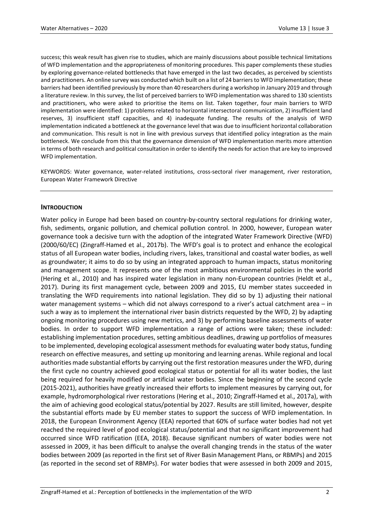success; this weak result has given rise to studies, which are mainly discussions about possible technical limitations of WFD implementation and the appropriateness of monitoring procedures. This paper complements these studies by exploring governance-related bottlenecks that have emerged in the last two decades, as perceived by scientists and practitioners. An online survey was conducted which built on a list of 24 barriers to WFD implementation; these barriers had been identified previously by more than 40 researchers during a workshop in January 2019 and through a literature review. In this survey, the list of perceived barriers to WFD implementation was shared to 130 scientists and practitioners, who were asked to prioritise the items on list. Taken together, four main barriers to WFD implementation were identified: 1) problems related to horizontal intersectoral communication, 2) insufficient land reserves, 3) insufficient staff capacities, and 4) inadequate funding. The results of the analysis of WFD implementation indicated a bottleneck at the governance level that was due to insufficient horizontal collaboration and communication. This result is not in line with previous surveys that identified policy integration as the main bottleneck. We conclude from this that the governance dimension of WFD implementation merits more attention in terms of both research and political consultation in order to identify the needs for action that are key to improved WFD implementation.

KEYWORDS: Water governance, water-related institutions, cross-sectoral river management, river restoration, European Water Framework Directive

## **INTRODUCTION**

Water policy in Europe had been based on country-by-country sectoral regulations for drinking water, fish, sediments, organic pollution, and chemical pollution control. In 2000, however, European water governance took a decisive turn with the adoption of the integrated Water Framework Directive (WFD) (2000/60/EC) (Zingraff-Hamed et al., 2017b). The WFD's goal is to protect and enhance the ecological status of all European water bodies, including rivers, lakes, transitional and coastal water bodies, as well as groundwater; it aims to do so by using an integrated approach to human impacts, status monitoring and management scope. It represents one of the most ambitious environmental policies in the world (Hering et al., 2010) and has inspired water legislation in many non-European countries (Heldt et al., 2017). During its first management cycle, between 2009 and 2015, EU member states succeeded in translating the WFD requirements into national legislation. They did so by 1) adjusting their national water management systems - which did not always correspond to a river's actual catchment area - in such a way as to implement the international river basin districts requested by the WFD, 2) by adapting ongoing monitoring procedures using new metrics, and 3) by performing baseline assessments of water bodies. In order to support WFD implementation a range of actions were taken; these included: establishing implementation procedures, setting ambitious deadlines, drawing up portfolios of measures to be implemented, developing ecological assessment methods for evaluating water body status, funding research on effective measures, and setting up monitoring and learning arenas. While regional and local authorities made substantial efforts by carrying out the first restoration measures under the WFD, during the first cycle no country achieved good ecological status or potential for all its water bodies, the last being required for heavily modified or artificial water bodies. Since the beginning of the second cycle (2015-2021), authorities have greatly increased their efforts to implement measures by carrying out, for example, hydromorphological river restorations (Hering et al., 2010; Zingraff-Hamed et al., 2017a), with the aim of achieving good ecological status/potential by 2027. Results are still limited, however, despite the substantial efforts made by EU member states to support the success of WFD implementation. In 2018, the European Environment Agency (EEA) reported that 60% of surface water bodies had not yet reached the required level of good ecological status/potential and that no significant improvement had occurred since WFD ratification (EEA, 2018). Because significant numbers of water bodies were not assessed in 2009, it has been difficult to analyse the overall changing trends in the status of the water bodies between 2009 (as reported in the first set of River Basin Management Plans, or RBMPs) and 2015 (as reported in the second set of RBMPs). For water bodies that were assessed in both 2009 and 2015,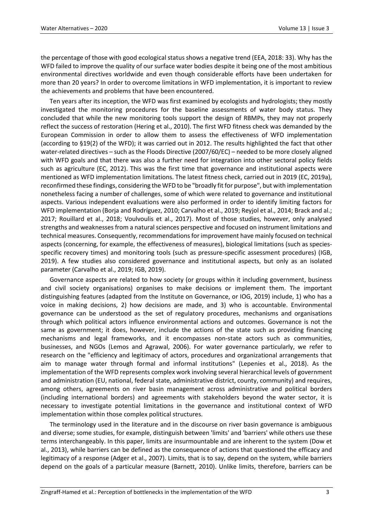the percentage of those with good ecological status shows a negative trend (EEA, 2018: 33). Why has the WFD failed to improve the quality of our surface water bodies despite it being one of the most ambitious environmental directives worldwide and even though considerable efforts have been undertaken for more than 20 years? In order to overcome limitations in WFD implementation, it is important to review the achievements and problems that have been encountered.

Ten years after its inception, the WFD was first examined by ecologists and hydrologists; they mostly investigated the monitoring procedures for the baseline assessments of water body status. They concluded that while the new monitoring tools support the design of RBMPs, they may not properly reflect the success of restoration (Hering et al., 2010). The first WFD fitness check was demanded by the European Commission in order to allow them to assess the effectiveness of WFD implementation (according to §19(2) of the WFD); it was carried out in 2012. The results highlighted the fact that other water-related directives – such as the Floods Directive (2007/60/EC) – needed to be more closely aligned with WFD goals and that there was also a further need for integration into other sectoral policy fields such as agriculture (EC, 2012). This was the first time that governance and institutional aspects were mentioned as WFD implementation limitations. The latest fitness check, carried out in 2019 (EC, 2019a), reconfirmed these findings, considering the WFD to be "broadly fit for purpose", but with implementation nonetheless facing a number of challenges, some of which were related to governance and institutional aspects. Various independent evaluations were also performed in order to identify limiting factors for WFD implementation (Borja and Rodríguez, 2010; Carvalho et al., 2019; Reyjol et al., 2014; Brack and al.; 2017; Rouillard et al., 2018; Voulvoulis et al., 2017). Most of those studies, however, only analysed strengths and weaknesses from a natural sciences perspective and focused on instrument limitations and technical measures. Consequently, recommendations for improvement have mainly focused on technical aspects (concerning, for example, the effectiveness of measures), biological limitations (such as speciesspecific recovery times) and monitoring tools (such as pressure-specific assessment procedures) (IGB, 2019). A few studies also considered governance and institutional aspects, but only as an isolated parameter (Carvalho et al., 2019; IGB, 2019).

Governance aspects are related to how society (or groups within it including government, business and civil society organisations) organises to make decisions or implement them. The important distinguishing features (adapted from the Institute on Governance, or IOG, 2019) include, 1) who has a voice in making decisions, 2) how decisions are made, and 3) who is accountable. Environmental governance can be understood as the set of regulatory procedures, mechanisms and organisations through which political actors influence environmental actions and outcomes. Governance is not the same as government; it does, however, include the actions of the state such as providing financing mechanisms and legal frameworks, and it encompasses non-state actors such as communities, businesses, and NGOs (Lemos and Agrawal, 2006). For water governance particularly, we refer to research on the "efficiency and legitimacy of actors, procedures and organizational arrangements that aim to manage water through formal and informal institutions" (Lepenies et al., 2018). As the implementation of the WFD represents complex work involving several hierarchical levels of government and administration (EU, national, federal state, administrative district, county, community) and requires, among others, agreements on river basin management across administrative and political borders (including international borders) and agreements with stakeholders beyond the water sector, it is necessary to investigate potential limitations in the governance and institutional context of WFD implementation within those complex political structures.

The terminology used in the literature and in the discourse on river basin governance is ambiguous and diverse; some studies, for example, distinguish between 'limits' and 'barriers' while others use these terms interchangeably. In this paper, limits are insurmountable and are inherent to the system (Dow et al., 2013), while barriers can be defined as the consequence of actions that questioned the efficacy and legitimacy of a response (Adger et al., 2007). Limits, that is to say, depend on the system, while barriers depend on the goals of a particular measure (Barnett, 2010). Unlike limits, therefore, barriers can be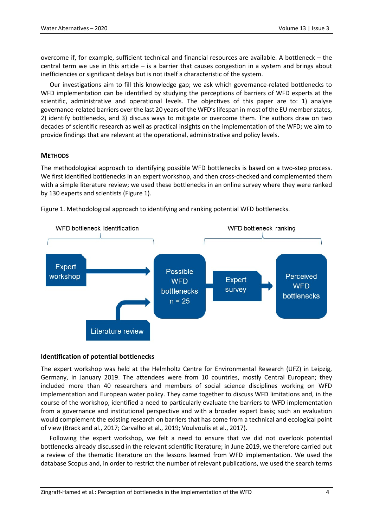overcome if, for example, sufficient technical and financial resources are available. A bottleneck – the central term we use in this article – is a barrier that causes congestion in a system and brings about inefficiencies or significant delays but is not itself a characteristic of the system.

Our investigations aim to fill this knowledge gap; we ask which governance-related bottlenecks to WFD implementation can be identified by studying the perceptions of barriers of WFD experts at the scientific, administrative and operational levels. The objectives of this paper are to: 1) analyse governance-related barriers over the last 20 years of the WFD's lifespan in most of the EU member states, 2) identify bottlenecks, and 3) discuss ways to mitigate or overcome them. The authors draw on two decades of scientific research as well as practical insights on the implementation of the WFD; we aim to provide findings that are relevant at the operational, administrative and policy levels.

## **METHODS**

The methodological approach to identifying possible WFD bottlenecks is based on a two-step process. We first identified bottlenecks in an expert workshop, and then cross-checked and complemented them with a simple literature review; we used these bottlenecks in an online survey where they were ranked by 130 experts and scientists (Figure 1).



Figure 1. Methodological approach to identifying and ranking potential WFD bottlenecks.

## **Identification of potential bottlenecks**

The expert workshop was held at the Helmholtz Centre for Environmental Research (UFZ) in Leipzig, Germany, in January 2019. The attendees were from 10 countries, mostly Central European; they included more than 40 researchers and members of social science disciplines working on WFD implementation and European water policy. They came together to discuss WFD limitations and, in the course of the workshop, identified a need to particularly evaluate the barriers to WFD implementation from a governance and institutional perspective and with a broader expert basis; such an evaluation would complement the existing research on barriers that has come from a technical and ecological point of view (Brack and al., 2017; Carvalho et al., 2019; Voulvoulis et al., 2017).

Following the expert workshop, we felt a need to ensure that we did not overlook potential bottlenecks already discussed in the relevant scientific literature; in June 2019, we therefore carried out a review of the thematic literature on the lessons learned from WFD implementation. We used the database Scopus and, in order to restrict the number of relevant publications, we used the search terms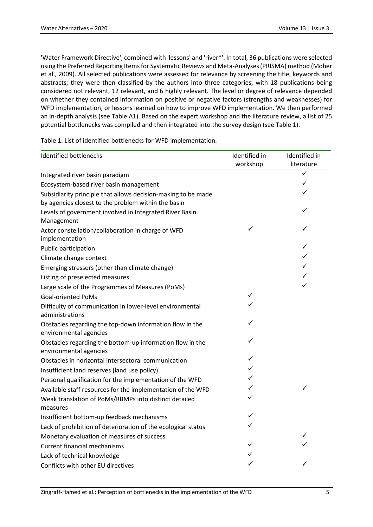'Water Framework Directive', combined with 'lessons' and 'river\*'. In total, 36 publications were selected using the Preferred Reporting Items for Systematic Reviews and Meta-Analyses (PRISMA) method (Moher et al., 2009). All selected publications were assessed for relevance by screening the title, keywords and abstracts; they were then classified by the authors into three categories, with 18 publications being considered not relevant, 12 relevant, and 6 highly relevant. The level or degree of relevance depended on whether they contained information on positive or negative factors (strengths and weaknesses) for WFD implementation, or lessons learned on how to improve WFD implementation. We then performed an in-depth analysis (see Table A1). Based on the expert workshop and the literature review, a list of 25 potential bottlenecks was compiled and then integrated into the survey design (see Table 1).

Table 1. List of identified bottlenecks for WFD implementation.

| <b>Identified bottlenecks</b>                                                       | Identified in | Identified in |
|-------------------------------------------------------------------------------------|---------------|---------------|
|                                                                                     | workshop      | literature    |
| Integrated river basin paradigm                                                     |               | ✓             |
| Ecosystem-based river basin management                                              |               | ✓             |
| Subsidiarity principle that allows decision-making to be made                       |               | ✓             |
| by agencies closest to the problem within the basin                                 |               |               |
| Levels of government involved in Integrated River Basin<br>Management               |               | ✓             |
| Actor constellation/collaboration in charge of WFD<br>implementation                | ✓             | ✓             |
| Public participation                                                                |               | ✓             |
| Climate change context                                                              |               | ✓             |
| Emerging stressors (other than climate change)                                      |               | ✓             |
| Listing of preselected measures                                                     |               | ✓             |
| Large scale of the Programmes of Measures (PoMs)                                    |               | ✓             |
| <b>Goal-oriented PoMs</b>                                                           | ✓             |               |
| Difficulty of communication in lower-level environmental<br>administrations         | ✓             |               |
| Obstacles regarding the top-down information flow in the<br>environmental agencies  | ✓             |               |
| Obstacles regarding the bottom-up information flow in the<br>environmental agencies | ✓             |               |
| Obstacles in horizontal intersectoral communication                                 | ✓             |               |
| Insufficient land reserves (land use policy)                                        | ✓             |               |
| Personal qualification for the implementation of the WFD                            | ✓             |               |
| Available staff resources for the implementation of the WFD                         | ✓             | ✓             |
| Weak translation of PoMs/RBMPs into distinct detailed<br>measures                   | ✓             |               |
| Insufficient bottom-up feedback mechanisms                                          | ✓             |               |
| Lack of prohibition of deterioration of the ecological status                       | ✓             |               |
| Monetary evaluation of measures of success                                          |               | ✓             |
| <b>Current financial mechanisms</b>                                                 | ✓             | ✓             |
| Lack of technical knowledge                                                         |               |               |
| Conflicts with other EU directives                                                  | ✓             | ✓             |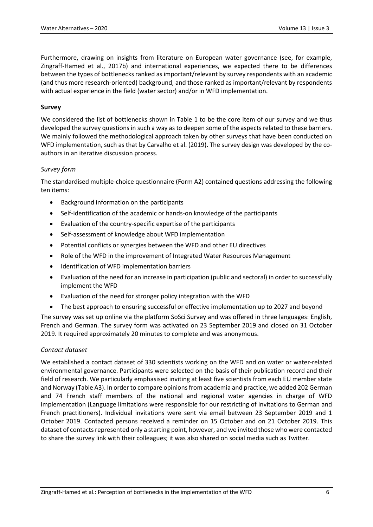Furthermore, drawing on insights from literature on European water governance (see, for example, Zingraff-Hamed et al., 2017b) and international experiences, we expected there to be differences between the types of bottlenecks ranked as important/relevant by survey respondents with an academic (and thus more research-oriented) background, and those ranked as important/relevant by respondents with actual experience in the field (water sector) and/or in WFD implementation.

## **Survey**

We considered the list of bottlenecks shown in Table 1 to be the core item of our survey and we thus developed the survey questions in such a way as to deepen some of the aspects related to these barriers. We mainly followed the methodological approach taken by other surveys that have been conducted on WFD implementation, such as that by Carvalho et al. (2019). The survey design was developed by the coauthors in an iterative discussion process.

#### *Survey form*

The standardised multiple-choice questionnaire (Form A2) contained questions addressing the following ten items:

- Background information on the participants
- Self-identification of the academic or hands-on knowledge of the participants
- Evaluation of the country-specific expertise of the participants
- Self-assessment of knowledge about WFD implementation
- Potential conflicts or synergies between the WFD and other EU directives
- Role of the WFD in the improvement of Integrated Water Resources Management
- Identification of WFD implementation barriers
- Evaluation of the need for an increase in participation (public and sectoral) in order to successfully implement the WFD
- Evaluation of the need for stronger policy integration with the WFD
- The best approach to ensuring successful or effective implementation up to 2027 and beyond

The survey was set up online via the platform SoSci Survey and was offered in three languages: English, French and German. The survey form was activated on 23 September 2019 and closed on 31 October 2019. It required approximately 20 minutes to complete and was anonymous.

## *Contact dataset*

We established a contact dataset of 330 scientists working on the WFD and on water or water-related environmental governance. Participants were selected on the basis of their publication record and their field of research. We particularly emphasised inviting at least five scientists from each EU member state and Norway (Table A3). In order to compare opinions from academia and practice, we added 202 German and 74 French staff members of the national and regional water agencies in charge of WFD implementation (Language limitations were responsible for our restricting of invitations to German and French practitioners). Individual invitations were sent via email between 23 September 2019 and 1 October 2019. Contacted persons received a reminder on 15 October and on 21 October 2019. This dataset of contacts represented only a starting point, however, and we invited those who were contacted to share the survey link with their colleagues; it was also shared on social media such as Twitter.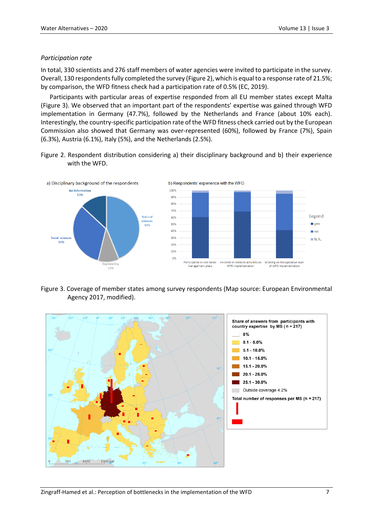## *Participation rate*

In total, 330 scientists and 276 staff members of water agencies were invited to participate in the survey. Overall, 130 respondents fully completed the survey (Figure 2), which is equal to a response rate of 21.5%; by comparison, the WFD fitness check had a participation rate of 0.5% (EC, 2019).

Participants with particular areas of expertise responded from all EU member states except Malta (Figure 3). We observed that an important part of the respondents' expertise was gained through WFD implementation in Germany (47.7%), followed by the Netherlands and France (about 10% each). Interestingly, the country-specific participation rate of the WFD fitness check carried out by the European Commission also showed that Germany was over-represented (60%), followed by France (7%), Spain (6.3%), Austria (6.1%), Italy (5%), and the Netherlands (2.5%).

Figure 2. Respondent distribution considering a) their disciplinary background and b) their experience with the WFD.



Figure 3. Coverage of member states among survey respondents (Map source: European Environmental Agency 2017, modified).

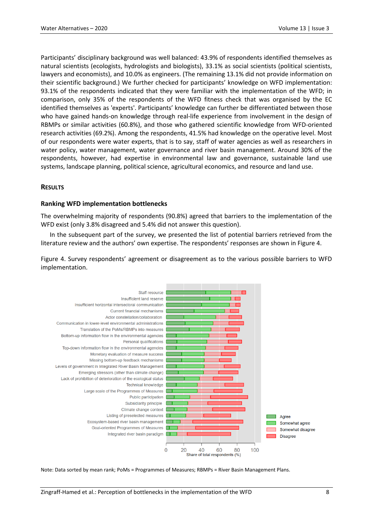Participants' disciplinary background was well balanced: 43.9% of respondents identified themselves as natural scientists (ecologists, hydrologists and biologists), 33.1% as social scientists (political scientists, lawyers and economists), and 10.0% as engineers. (The remaining 13.1% did not provide information on their scientific background.) We further checked for participants' knowledge on WFD implementation: 93.1% of the respondents indicated that they were familiar with the implementation of the WFD; in comparison, only 35% of the respondents of the WFD fitness check that was organised by the EC identified themselves as 'experts'. Participants' knowledge can further be differentiated between those who have gained hands-on knowledge through real-life experience from involvement in the design of RBMPs or similar activities (60.8%), and those who gathered scientific knowledge from WFD-oriented research activities (69.2%). Among the respondents, 41.5% had knowledge on the operative level. Most of our respondents were water experts, that is to say, staff of water agencies as well as researchers in water policy, water management, water governance and river basin management. Around 30% of the respondents, however, had expertise in environmental law and governance, sustainable land use systems, landscape planning, political science, agricultural economics, and resource and land use.

## **RESULTS**

## **Ranking WFD implementation bottlenecks**

The overwhelming majority of respondents (90.8%) agreed that barriers to the implementation of the WFD exist (only 3.8% disagreed and 5.4% did not answer this question).

In the subsequent part of the survey, we presented the list of potential barriers retrieved from the literature review and the authors' own expertise. The respondents' responses are shown in Figure 4.

Figure 4. Survey respondents' agreement or disagreement as to the various possible barriers to WFD implementation.



Note: Data sorted by mean rank; PoMs = Programmes of Measures; RBMPs = River Basin Management Plans.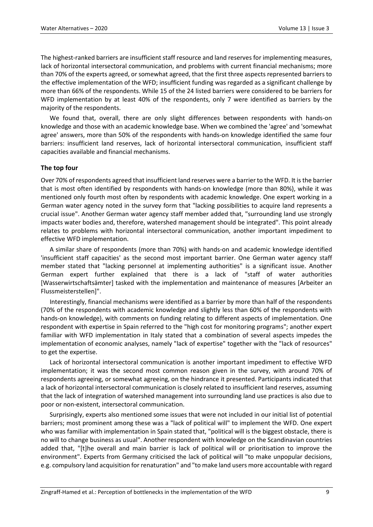The highest-ranked barriers are insufficient staff resource and land reserves for implementing measures, lack of horizontal intersectoral communication, and problems with current financial mechanisms; more than 70% of the experts agreed, or somewhat agreed, that the first three aspects represented barriers to the effective implementation of the WFD; insufficient funding was regarded as a significant challenge by more than 66% of the respondents. While 15 of the 24 listed barriers were considered to be barriers for WFD implementation by at least 40% of the respondents, only 7 were identified as barriers by the majority of the respondents.

We found that, overall, there are only slight differences between respondents with hands-on knowledge and those with an academic knowledge base. When we combined the 'agree' and 'somewhat agree' answers, more than 50% of the respondents with hands-on knowledge identified the same four barriers: insufficient land reserves, lack of horizontal intersectoral communication, insufficient staff capacities available and financial mechanisms.

## **The top four**

Over 70% of respondents agreed that insufficient land reserves were a barrier to the WFD. It is the barrier that is most often identified by respondents with hands-on knowledge (more than 80%), while it was mentioned only fourth most often by respondents with academic knowledge. One expert working in a German water agency noted in the survey form that "lacking possibilities to acquire land represents a crucial issue". Another German water agency staff member added that, "surrounding land use strongly impacts water bodies and, therefore, watershed management should be integrated". This point already relates to problems with horizontal intersectoral communication, another important impediment to effective WFD implementation.

A similar share of respondents (more than 70%) with hands-on and academic knowledge identified 'insufficient staff capacities' as the second most important barrier. One German water agency staff member stated that "lacking personnel at implementing authorities" is a significant issue. Another German expert further explained that there is a lack of "staff of water authorities [Wasserwirtschaftsämter] tasked with the implementation and maintenance of measures [Arbeiter an Flussmeisterstellen]".

Interestingly, financial mechanisms were identified as a barrier by more than half of the respondents (70% of the respondents with academic knowledge and slightly less than 60% of the respondents with hands-on knowledge), with comments on funding relating to different aspects of implementation. One respondent with expertise in Spain referred to the "high cost for monitoring programs"; another expert familiar with WFD implementation in Italy stated that a combination of several aspects impedes the implementation of economic analyses, namely "lack of expertise" together with the "lack of resources" to get the expertise.

Lack of horizontal intersectoral communication is another important impediment to effective WFD implementation; it was the second most common reason given in the survey, with around 70% of respondents agreeing, or somewhat agreeing, on the hindrance it presented. Participants indicated that a lack of horizontal intersectoral communication is closely related to insufficient land reserves, assuming that the lack of integration of watershed management into surrounding land use practices is also due to poor or non-existent, intersectoral communication.

Surprisingly, experts also mentioned some issues that were not included in our initial list of potential barriers; most prominent among these was a "lack of political will" to implement the WFD. One expert who was familiar with implementation in Spain stated that, "political will is the biggest obstacle, there is no will to change business as usual". Another respondent with knowledge on the Scandinavian countries added that, "[t]he overall and main barrier is lack of political will or prioritisation to improve the environment". Experts from Germany criticised the lack of political will "to make unpopular decisions, e.g. compulsory land acquisition for renaturation" and "to make land users more accountable with regard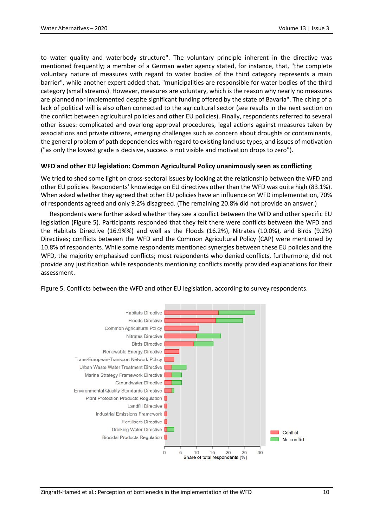to water quality and waterbody structure". The voluntary principle inherent in the directive was mentioned frequently; a member of a German water agency stated, for instance, that, "the complete voluntary nature of measures with regard to water bodies of the third category represents a main barrier", while another expert added that, "municipalities are responsible for water bodies of the third category (small streams). However, measures are voluntary, which is the reason why nearly no measures are planned nor implemented despite significant funding offered by the state of Bavaria". The citing of a lack of political will is also often connected to the agricultural sector (see results in the next section on the conflict between agricultural policies and other EU policies). Finally, respondents referred to several other issues: complicated and overlong approval procedures, legal actions against measures taken by associations and private citizens, emerging challenges such as concern about droughts or contaminants, the general problem of path dependencies with regard to existing land use types, and issues of motivation ("as only the lowest grade is decisive, success is not visible and motivation drops to zero").

## **WFD and other EU legislation: Common Agricultural Policy unanimously seen as conflicting**

We tried to shed some light on cross-sectoral issues by looking at the relationship between the WFD and other EU policies. Respondents' knowledge on EU directives other than the WFD was quite high (83.1%). When asked whether they agreed that other EU policies have an influence on WFD implementation, 70% of respondents agreed and only 9.2% disagreed. (The remaining 20.8% did not provide an answer.)

Respondents were further asked whether they see a conflict between the WFD and other specific EU legislation (Figure 5). Participants responded that they felt there were conflicts between the WFD and the Habitats Directive (16.9%%) and well as the Floods (16.2%), Nitrates (10.0%), and Birds (9.2%) Directives; conflicts between the WFD and the Common Agricultural Policy (CAP) were mentioned by 10.8% of respondents. While some respondents mentioned synergies between these EU policies and the WFD, the majority emphasised conflicts; most respondents who denied conflicts, furthermore, did not provide any justification while respondents mentioning conflicts mostly provided explanations for their assessment.

Figure 5. Conflicts between the WFD and other EU legislation, according to survey respondents.

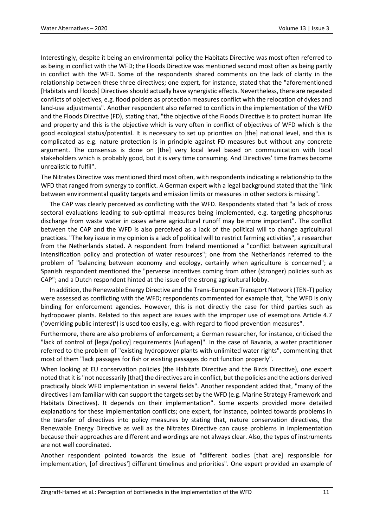Interestingly, despite it being an environmental policy the Habitats Directive was most often referred to as being in conflict with the WFD; the Floods Directive was mentioned second most often as being partly in conflict with the WFD. Some of the respondents shared comments on the lack of clarity in the relationship between these three directives; one expert, for instance, stated that the "aforementioned [Habitats and Floods] Directives should actually have synergistic effects. Nevertheless, there are repeated conflicts of objectives, e.g. flood polders as protection measures conflict with the relocation of dykes and land-use adjustments". Another respondent also referred to conflicts in the implementation of the WFD and the Floods Directive (FD), stating that, "the objective of the Floods Directive is to protect human life and property and this is the objective which is very often in conflict of objectives of WFD which is the good ecological status/potential. It is necessary to set up priorities on [the] national level, and this is complicated as e.g. nature protection is in principle against FD measures but without any concrete argument. The consensus is done on [the] very local level based on communication with local stakeholders which is probably good, but it is very time consuming. And Directives' time frames become unrealistic to fulfil".

The Nitrates Directive was mentioned third most often, with respondents indicating a relationship to the WFD that ranged from synergy to conflict. A German expert with a legal background stated that the "link between environmental quality targets and emission limits or measures in other sectors is missing".

The CAP was clearly perceived as conflicting with the WFD. Respondents stated that "a lack of cross sectoral evaluations leading to sub-optimal measures being implemented, e.g. targeting phosphorus discharge from waste water in cases where agricultural runoff may be more important". The conflict between the CAP and the WFD is also perceived as a lack of the political will to change agricultural practices. "The key issue in my opinion is a lack of political will to restrict farming activities", a researcher from the Netherlands stated. A respondent from Ireland mentioned a "conflict between agricultural intensification policy and protection of water resources"; one from the Netherlands referred to the problem of "balancing between economy and ecology, certainly when agriculture is concerned"; a Spanish respondent mentioned the "perverse incentives coming from other (stronger) policies such as CAP"; and a Dutch respondent hinted at the issue of the strong agricultural lobby.

In addition, the Renewable Energy Directive and the Trans-European Transport Network (TEN-T) policy were assessed as conflicting with the WFD; respondents commented for example that, "the WFD is only binding for enforcement agencies. However, this is not directly the case for third parties such as hydropower plants. Related to this aspect are issues with the improper use of exemptions Article 4.7 ('overriding public interest') is used too easily, e.g. with regard to flood prevention measures".

Furthermore, there are also problems of enforcement; a German researcher, for instance, criticised the "lack of control of [legal/policy] requirements [Auflagen]". In the case of Bavaria, a water practitioner referred to the problem of "existing hydropower plants with unlimited water rights", commenting that most of them "lack passages for fish or existing passages do not function properly".

When looking at EU conservation policies (the Habitats Directive and the Birds Directive), one expert noted that it is "not necessarily [that] the directives are in conflict, but the policies and the actions derived practically block WFD implementation in several fields". Another respondent added that, "many of the directives I am familiar with can support the targets set by the WFD (e.g. Marine Strategy Framework and Habitats Directives). It depends on their implementation". Some experts provided more detailed explanations for these implementation conflicts; one expert, for instance, pointed towards problems in the transfer of directives into policy measures by stating that, nature conservation directives, the Renewable Energy Directive as well as the Nitrates Directive can cause problems in implementation because their approaches are different and wordings are not always clear. Also, the types of instruments are not well coordinated.

Another respondent pointed towards the issue of "different bodies [that are] responsible for implementation, [of directives'] different timelines and priorities". One expert provided an example of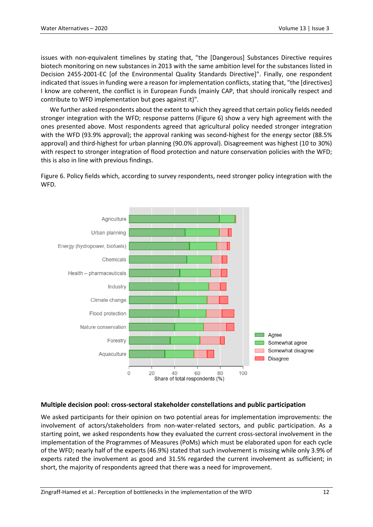issues with non-equivalent timelines by stating that, "the [Dangerous] Substances Directive requires biotech monitoring on new substances in 2013 with the same ambition level for the substances listed in Decision 2455-2001-EC [of the Environmental Quality Standards Directive]". Finally, one respondent indicated that issues in funding were a reason for implementation conflicts, stating that, "the [directives] I know are coherent, the conflict is in European Funds (mainly CAP, that should ironically respect and contribute to WFD implementation but goes against it)".

We further asked respondents about the extent to which they agreed that certain policy fields needed stronger integration with the WFD; response patterns (Figure 6) show a very high agreement with the ones presented above. Most respondents agreed that agricultural policy needed stronger integration with the WFD (93.9% approval); the approval ranking was second-highest for the energy sector (88.5% approval) and third-highest for urban planning (90.0% approval). Disagreement was highest (10 to 30%) with respect to stronger integration of flood protection and nature conservation policies with the WFD; this is also in line with previous findings.

Figure 6. Policy fields which, according to survey respondents, need stronger policy integration with the WFD.



## **Multiple decision pool: cross-sectoral stakeholder constellations and public participation**

We asked participants for their opinion on two potential areas for implementation improvements: the involvement of actors/stakeholders from non-water-related sectors, and public participation. As a starting point, we asked respondents how they evaluated the current cross-sectoral involvement in the implementation of the Programmes of Measures (PoMs) which must be elaborated upon for each cycle of the WFD; nearly half of the experts (46.9%) stated that such involvement is missing while only 3.9% of experts rated the involvement as good and 31.5% regarded the current involvement as sufficient; in short, the majority of respondents agreed that there was a need for improvement.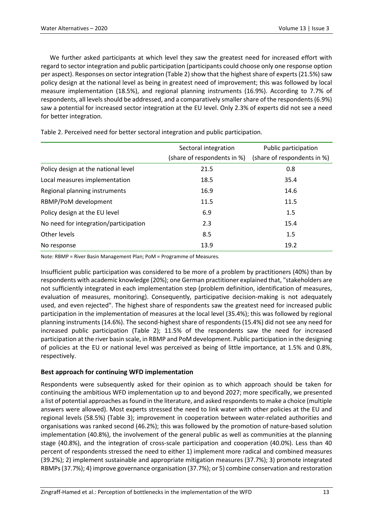We further asked participants at which level they saw the greatest need for increased effort with regard to sector integration and public participation (participants could choose only one response option per aspect). Responses on sector integration (Table 2) show that the highest share of experts (21.5%) saw policy design at the national level as being in greatest need of improvement; this was followed by local measure implementation (18.5%), and regional planning instruments (16.9%). According to 7.7% of respondents, all levels should be addressed, and a comparatively smaller share of the respondents (6.9%) saw a potential for increased sector integration at the EU level. Only 2.3% of experts did not see a need for better integration.

|                                       | Sectoral integration<br>(share of respondents in %) | Public participation<br>(share of respondents in %) |
|---------------------------------------|-----------------------------------------------------|-----------------------------------------------------|
| Policy design at the national level   | 21.5                                                | 0.8                                                 |
| Local measures implementation         | 18.5                                                | 35.4                                                |
| Regional planning instruments         | 16.9                                                | 14.6                                                |
| RBMP/PoM development                  | 11.5                                                | 11.5                                                |
| Policy design at the EU level         | 6.9                                                 | 1.5                                                 |
| No need for integration/participation | 2.3                                                 | 15.4                                                |
| Other levels                          | 8.5                                                 | 1.5                                                 |
| No response                           | 13.9                                                | 19.2                                                |

Table 2. Perceived need for better sectoral integration and public participation.

Note: RBMP = River Basin Management Plan; PoM = Programme of Measures.

Insufficient public participation was considered to be more of a problem by practitioners (40%) than by respondents with academic knowledge (20%); one German practitioner explained that, "stakeholders are not sufficiently integrated in each implementation step (problem definition, identification of measures, evaluation of measures, monitoring). Consequently, participative decision-making is not adequately used, and even rejected". The highest share of respondents saw the greatest need for increased public participation in the implementation of measures at the local level (35.4%); this was followed by regional planning instruments (14.6%). The second-highest share of respondents (15.4%) did not see any need for increased public participation (Table 2); 11.5% of the respondents saw the need for increased participation at the river basin scale, in RBMP and PoM development. Public participation in the designing of policies at the EU or national level was perceived as being of little importance, at 1.5% and 0.8%, respectively.

## **Best approach for continuing WFD implementation**

Respondents were subsequently asked for their opinion as to which approach should be taken for continuing the ambitious WFD implementation up to and beyond 2027; more specifically, we presented a list of potential approaches as found in the literature, and asked respondents to make a choice (multiple answers were allowed). Most experts stressed the need to link water with other policies at the EU and regional levels (58.5%) (Table 3); improvement in cooperation between water-related authorities and organisations was ranked second (46.2%); this was followed by the promotion of nature-based solution implementation (40.8%), the involvement of the general public as well as communities at the planning stage (40.8%), and the integration of cross-scale participation and cooperation (40.0%). Less than 40 percent of respondents stressed the need to either 1) implement more radical and combined measures (39.2%); 2) implement sustainable and appropriate mitigation measures (37.7%); 3) promote integrated RBMPs (37.7%); 4) improve governance organisation (37.7%); or 5) combine conservation and restoration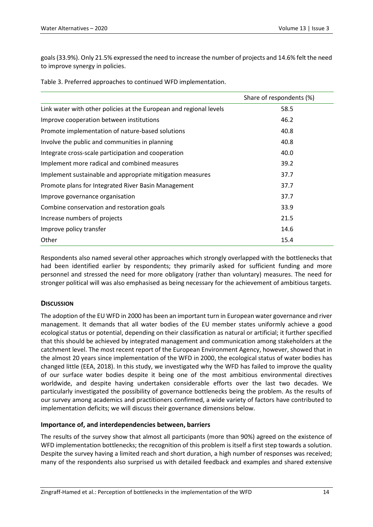goals (33.9%). Only 21.5% expressed the need to increase the number of projects and 14.6% felt the need to improve synergy in policies.

|                                                                    | Share of respondents (%) |
|--------------------------------------------------------------------|--------------------------|
| Link water with other policies at the European and regional levels | 58.5                     |
| Improve cooperation between institutions                           | 46.2                     |
| Promote implementation of nature-based solutions                   | 40.8                     |
| Involve the public and communities in planning                     | 40.8                     |
| Integrate cross-scale participation and cooperation                | 40.0                     |
| Implement more radical and combined measures                       | 39.2                     |
| Implement sustainable and appropriate mitigation measures          | 37.7                     |
| Promote plans for Integrated River Basin Management                | 37.7                     |
| Improve governance organisation                                    | 37.7                     |
| Combine conservation and restoration goals                         | 33.9                     |
| Increase numbers of projects                                       | 21.5                     |
| Improve policy transfer                                            | 14.6                     |
| Other                                                              | 15.4                     |

Table 3. Preferred approaches to continued WFD implementation.

Respondents also named several other approaches which strongly overlapped with the bottlenecks that had been identified earlier by respondents; they primarily asked for sufficient funding and more personnel and stressed the need for more obligatory (rather than voluntary) measures. The need for stronger political will was also emphasised as being necessary for the achievement of ambitious targets.

## **DISCUSSION**

The adoption of the EU WFD in 2000 has been an important turn in European water governance and river management. It demands that all water bodies of the EU member states uniformly achieve a good ecological status or potential, depending on their classification as natural or artificial; it further specified that this should be achieved by integrated management and communication among stakeholders at the catchment level. The most recent report of the European Environment Agency, however, showed that in the almost 20 years since implementation of the WFD in 2000, the ecological status of water bodies has changed little (EEA, 2018). In this study, we investigated why the WFD has failed to improve the quality of our surface water bodies despite it being one of the most ambitious environmental directives worldwide, and despite having undertaken considerable efforts over the last two decades. We particularly investigated the possibility of governance bottlenecks being the problem. As the results of our survey among academics and practitioners confirmed, a wide variety of factors have contributed to implementation deficits; we will discuss their governance dimensions below.

## **Importance of, and interdependencies between, barriers**

The results of the survey show that almost all participants (more than 90%) agreed on the existence of WFD implementation bottlenecks; the recognition of this problem is itself a first step towards a solution. Despite the survey having a limited reach and short duration, a high number of responses was received; many of the respondents also surprised us with detailed feedback and examples and shared extensive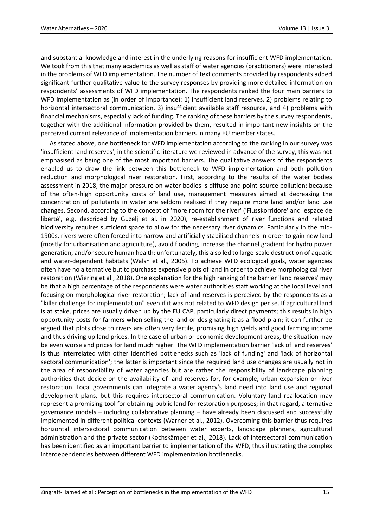and substantial knowledge and interest in the underlying reasons for insufficient WFD implementation. We took from this that many academics as well as staff of water agencies (practitioners) were interested in the problems of WFD implementation. The number of text comments provided by respondents added significant further qualitative value to the survey responses by providing more detailed information on respondents' assessments of WFD implementation. The respondents ranked the four main barriers to WFD implementation as (in order of importance): 1) insufficient land reserves, 2) problems relating to horizontal intersectoral communication, 3) insufficient available staff resource, and 4) problems with financial mechanisms, especially lack of funding. The ranking of these barriers by the survey respondents, together with the additional information provided by them, resulted in important new insights on the perceived current relevance of implementation barriers in many EU member states.

As stated above, one bottleneck for WFD implementation according to the ranking in our survey was 'insufficient land reserves'; in the scientific literature we reviewed in advance of the survey, this was not emphasised as being one of the most important barriers. The qualitative answers of the respondents enabled us to draw the link between this bottleneck to WFD implementation and both pollution reduction and morphological river restoration. First, according to the results of the water bodies assessment in 2018, the major pressure on water bodies is diffuse and point-source pollution; because of the often-high opportunity costs of land use, management measures aimed at decreasing the concentration of pollutants in water are seldom realised if they require more land and/or land use changes. Second, according to the concept of 'more room for the river' ('Flusskorridore' and 'espace de liberté', e.g. described by Guzelj et al. in 2020), re-establishment of river functions and related biodiversity requires sufficient space to allow for the necessary river dynamics. Particularly in the mid-1900s, rivers were often forced into narrow and artificially stabilised channels in order to gain new land (mostly for urbanisation and agriculture), avoid flooding, increase the channel gradient for hydro power generation, and/or secure human health; unfortunately, this also led to large-scale destruction of aquatic and water-dependent habitats (Walsh et al., 2005). To achieve WFD ecological goals, water agencies often have no alternative but to purchase expensive plots of land in order to achieve morphological river restoration (Wiering et al., 2018). One explanation for the high ranking of the barrier 'land reserves' may be that a high percentage of the respondents were water authorities staff working at the local level and focusing on morphological river restoration; lack of land reserves is perceived by the respondents as a "killer challenge for implementation" even if it was not related to WFD design per se. If agricultural land is at stake, prices are usually driven up by the EU CAP, particularly direct payments; this results in high opportunity costs for farmers when selling the land or designating it as a flood plain; it can further be argued that plots close to rivers are often very fertile, promising high yields and good farming income and thus driving up land prices. In the case of urban or economic development areas, the situation may be even worse and prices for land much higher. The WFD implementation barrier 'lack of land reserves' is thus interrelated with other identified bottlenecks such as 'lack of funding' and 'lack of horizontal sectoral communication'; the latter is important since the required land use changes are usually not in the area of responsibility of water agencies but are rather the responsibility of landscape planning authorities that decide on the availability of land reserves for, for example, urban expansion or river restoration. Local governments can integrate a water agency's land need into land use and regional development plans, but this requires intersectoral communication. Voluntary land reallocation may represent a promising tool for obtaining public land for restoration purposes; in that regard, alternative governance models – including collaborative planning – have already been discussed and successfully implemented in different political contexts (Warner et al., 2012). Overcoming this barrier thus requires horizontal intersectoral communication between water experts, landscape planners, agricultural administration and the private sector (Kochskämper et al., 2018). Lack of intersectoral communication has been identified as an important barrier to implementation of the WFD, thus illustrating the complex interdependencies between different WFD implementation bottlenecks.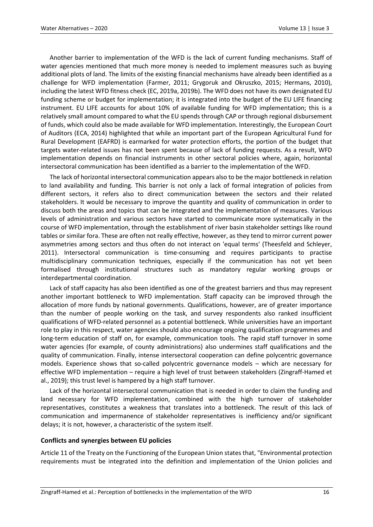Another barrier to implementation of the WFD is the lack of current funding mechanisms. Staff of water agencies mentioned that much more money is needed to implement measures such as buying additional plots of land. The limits of the existing financial mechanisms have already been identified as a challenge for WFD implementation (Farmer, 2011; Grygoruk and Okruszko, 2015; Hermans, 2010), including the latest WFD fitness check (EC, 2019a, 2019b). The WFD does not have its own designated EU funding scheme or budget for implementation; it is integrated into the budget of the EU LIFE financing instrument. EU LIFE accounts for about 10% of available funding for WFD implementation; this is a relatively small amount compared to what the EU spends through CAP or through regional disbursement of funds, which could also be made available for WFD implementation. Interestingly, the European Court of Auditors (ECA, 2014) highlighted that while an important part of the European Agricultural Fund for Rural Development (EAFRD) is earmarked for water protection efforts, the portion of the budget that targets water-related issues has not been spent because of lack of funding requests. As a result, WFD implementation depends on financial instruments in other sectoral policies where, again, horizontal intersectoral communication has been identified as a barrier to the implementation of the WFD.

The lack of horizontal intersectoral communication appears also to be the major bottleneck in relation to land availability and funding. This barrier is not only a lack of formal integration of policies from different sectors, it refers also to direct communication between the sectors and their related stakeholders. It would be necessary to improve the quantity and quality of communication in order to discuss both the areas and topics that can be integrated and the implementation of measures. Various levels of administration and various sectors have started to communicate more systematically in the course of WFD implementation, through the establishment of river basin stakeholder settings like round tables or similar fora. These are often not really effective, however, as they tend to mirror current power asymmetries among sectors and thus often do not interact on 'equal terms' (Theesfeld and Schleyer, 2011). Intersectoral communication is time-consuming and requires participants to practise multidisciplinary communication techniques, especially if the communication has not yet been formalised through institutional structures such as mandatory regular working groups or interdepartmental coordination.

Lack of staff capacity has also been identified as one of the greatest barriers and thus may represent another important bottleneck to WFD implementation. Staff capacity can be improved through the allocation of more funds by national governments. Qualifications, however, are of greater importance than the number of people working on the task, and survey respondents also ranked insufficient qualifications of WFD-related personnel as a potential bottleneck. While universities have an important role to play in this respect, water agencies should also encourage ongoing qualification programmes and long-term education of staff on, for example, communication tools. The rapid staff turnover in some water agencies (for example, of county administrations) also undermines staff qualifications and the quality of communication. Finally, intense intersectoral cooperation can define polycentric governance models. Experience shows that so-called polycentric governance models – which are necessary for effective WFD implementation – require a high level of trust between stakeholders (Zingraff-Hamed et al., 2019); this trust level is hampered by a high staff turnover.

Lack of the horizontal intersectoral communication that is needed in order to claim the funding and land necessary for WFD implementation, combined with the high turnover of stakeholder representatives, constitutes a weakness that translates into a bottleneck. The result of this lack of communication and impermanence of stakeholder representatives is inefficiency and/or significant delays; it is not, however, a characteristic of the system itself.

## **Conflicts and synergies between EU policies**

Article 11 of the Treaty on the Functioning of the European Union states that, "Environmental protection requirements must be integrated into the definition and implementation of the Union policies and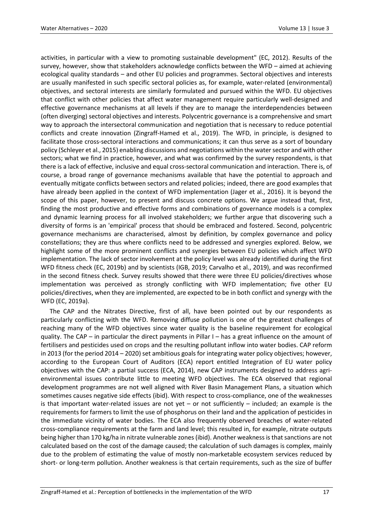activities, in particular with a view to promoting sustainable development" (EC, 2012). Results of the survey, however, show that stakeholders acknowledge conflicts between the WFD – aimed at achieving ecological quality standards – and other EU policies and programmes. Sectoral objectives and interests are usually manifested in such specific sectoral policies as, for example, water-related (environmental) objectives, and sectoral interests are similarly formulated and pursued within the WFD. EU objectives that conflict with other policies that affect water management require particularly well-designed and effective governance mechanisms at all levels if they are to manage the interdependencies between (often diverging) sectoral objectives and interests. Polycentric governance is a comprehensive and smart way to approach the intersectoral communication and negotiation that is necessary to reduce potential conflicts and create innovation (Zingraff-Hamed et al., 2019). The WFD, in principle, is designed to facilitate those cross-sectoral interactions and communications; it can thus serve as a sort of boundary policy (Schleyer et al., 2015) enabling discussions and negotiations within the water sector and with other sectors; what we find in practice, however, and what was confirmed by the survey respondents, is that there is a lack of effective, inclusive and equal cross-sectoral communication and interaction. There is, of course, a broad range of governance mechanisms available that have the potential to approach and eventually mitigate conflicts between sectors and related policies; indeed, there are good examples that have already been applied in the context of WFD implementation (Jager et al., 2016). It is beyond the scope of this paper, however, to present and discuss concrete options. We argue instead that, first, finding the most productive and effective forms and combinations of governance models is a complex and dynamic learning process for all involved stakeholders; we further argue that discovering such a diversity of forms is an 'empirical' process that should be embraced and fostered. Second, polycentric governance mechanisms are characterised, almost by definition, by complex governance and policy constellations; they are thus where conflicts need to be addressed and synergies explored. Below, we highlight some of the more prominent conflicts and synergies between EU policies which affect WFD implementation. The lack of sector involvement at the policy level was already identified during the first WFD fitness check (EC, 2019b) and by scientists (IGB, 2019; Carvalho et al., 2019), and was reconfirmed in the second fitness check. Survey results showed that there were three EU policies/directives whose implementation was perceived as strongly conflicting with WFD implementation; five other EU policies/directives, when they are implemented, are expected to be in both conflict and synergy with the WFD (EC, 2019a).

The CAP and the Nitrates Directive, first of all, have been pointed out by our respondents as particularly conflicting with the WFD. Removing diffuse pollution is one of the greatest challenges of reaching many of the WFD objectives since water quality is the baseline requirement for ecological quality. The CAP – in particular the direct payments in Pillar I – has a great influence on the amount of fertilisers and pesticides used on crops and the resulting pollutant inflow into water bodies. CAP reform in 2013 (for the period 2014 – 2020) set ambitious goals for integrating water policy objectives; however, according to the European Court of Auditors (ECA) report entitled Integration of EU water policy objectives with the CAP: a partial success (ECA, 2014), new CAP instruments designed to address agrienvironmental issues contribute little to meeting WFD objectives. The ECA observed that regional development programmes are not well aligned with River Basin Management Plans, a situation which sometimes causes negative side effects (ibid). With respect to cross-compliance, one of the weaknesses is that important water-related issues are not yet  $-$  or not sufficiently  $-$  included; an example is the requirements for farmers to limit the use of phosphorus on their land and the application of pesticides in the immediate vicinity of water bodies. The ECA also frequently observed breaches of water‑related cross‑compliance requirements at the farm and land level; this resulted in, for example, nitrate outputs being higher than 170 kg/ha in nitrate vulnerable zones (ibid). Another weakness is that sanctions are not calculated based on the cost of the damage caused; the calculation of such damages is complex, mainly due to the problem of estimating the value of mostly non-marketable ecosystem services reduced by short- or long-term pollution. Another weakness is that certain requirements, such as the size of buffer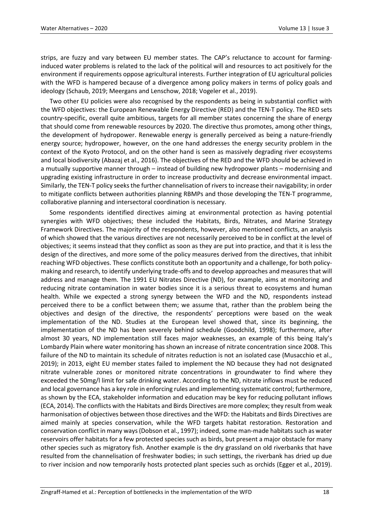strips, are fuzzy and vary between EU member states. The CAP's reluctance to account for farminginduced water problems is related to the lack of the political will and resources to act positively for the environment if requirements oppose agricultural interests. Further integration of EU agricultural policies with the WFD is hampered because of a divergence among policy makers in terms of policy goals and ideology (Schaub, 2019; Meergans and Lenschow, 2018; Vogeler et al., 2019).

Two other EU policies were also recognised by the respondents as being in substantial conflict with the WFD objectives: the European Renewable Energy Directive (RED) and the TEN-T policy. The RED sets country-specific, overall quite ambitious, targets for all member states concerning the share of energy that should come from renewable resources by 2020. The directive thus promotes, among other things, the development of hydropower. Renewable energy is generally perceived as being a nature-friendly energy source; hydropower, however, on the one hand addresses the energy security problem in the context of the Kyoto Protocol, and on the other hand is seen as massively degrading river ecosystems and local biodiversity (Abazaj et al., 2016). The objectives of the RED and the WFD should be achieved in a mutually supportive manner through – instead of building new hydropower plants – modernising and upgrading existing infrastructure in order to increase productivity and decrease environmental impact. Similarly, the TEN-T policy seeks the further channelisation of rivers to increase their navigability; in order to mitigate conflicts between authorities planning RBMPs and those developing the TEN-T programme, collaborative planning and intersectoral coordination is necessary.

Some respondents identified directives aiming at environmental protection as having potential synergies with WFD objectives; these included the Habitats, Birds, Nitrates, and Marine Strategy Framework Directives. The majority of the respondents, however, also mentioned conflicts, an analysis of which showed that the various directives are not necessarily perceived to be in conflict at the level of objectives; it seems instead that they conflict as soon as they are put into practice, and that it is less the design of the directives, and more some of the policy measures derived from the directives, that inhibit reaching WFD objectives. These conflicts constitute both an opportunity and a challenge, for both policymaking and research, to identify underlying trade-offs and to develop approaches and measures that will address and manage them. The 1991 EU Nitrates Directive (ND), for example, aims at monitoring and reducing nitrate contamination in water bodies since it is a serious threat to ecosystems and human health. While we expected a strong synergy between the WFD and the ND, respondents instead perceived there to be a conflict between them; we assume that, rather than the problem being the objectives and design of the directive, the respondents' perceptions were based on the weak implementation of the ND. Studies at the European level showed that, since its beginning, the implementation of the ND has been severely behind schedule (Goodchild, 1998); furthermore, after almost 30 years, ND implementation still faces major weaknesses, an example of this being Italy's Lombardy Plain where water monitoring has shown an increase of nitrate concentration since 2008. This failure of the ND to maintain its schedule of nitrates reduction is not an isolated case (Musacchio et al., 2019); in 2013, eight EU member states failed to implement the ND because they had not designated nitrate vulnerable zones or monitored nitrate concentrations in groundwater to find where they exceeded the 50mg/l limit for safe drinking water. According to the ND, nitrate inflows must be reduced and local governance has a key role in enforcing rules and implementing systematic control; furthermore, as shown by the ECA, stakeholder information and education may be key for reducing pollutant inflows (ECA, 2014). The conflicts with the Habitats and Birds Directives are more complex; they result from weak harmonisation of objectives between those directives and the WFD: the Habitats and Birds Directives are aimed mainly at species conservation, while the WFD targets habitat restoration. Restoration and conservation conflict in many ways (Dobson et al., 1997); indeed, some man-made habitats such as water reservoirs offer habitats for a few protected species such as birds, but present a major obstacle for many other species such as migratory fish. Another example is the dry grassland on old riverbanks that have resulted from the channelisation of freshwater bodies; in such settings, the riverbank has dried up due to river incision and now temporarily hosts protected plant species such as orchids (Egger et al., 2019).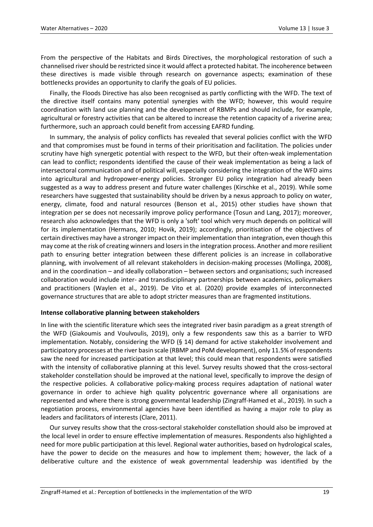From the perspective of the Habitats and Birds Directives, the morphological restoration of such a channelised river should be restricted since it would affect a protected habitat. The incoherence between these directives is made visible through research on governance aspects; examination of these bottlenecks provides an opportunity to clarify the goals of EU policies.

Finally, the Floods Directive has also been recognised as partly conflicting with the WFD. The text of the directive itself contains many potential synergies with the WFD; however, this would require coordination with land use planning and the development of RBMPs and should include, for example, agricultural or forestry activities that can be altered to increase the retention capacity of a riverine area; furthermore, such an approach could benefit from accessing EAFRD funding.

In summary, the analysis of policy conflicts has revealed that several policies conflict with the WFD and that compromises must be found in terms of their prioritisation and facilitation. The policies under scrutiny have high synergetic potential with respect to the WFD, but their often-weak implementation can lead to conflict; respondents identified the cause of their weak implementation as being a lack of intersectoral communication and of political will, especially considering the integration of the WFD aims into agricultural and hydropower-energy policies. Stronger EU policy integration had already been suggested as a way to address present and future water challenges (Kirschke et al., 2019). While some researchers have suggested that sustainability should be driven by a nexus approach to policy on water, energy, climate, food and natural resources (Benson et al., 2015) other studies have shown that integration per se does not necessarily improve policy performance (Tosun and Lang, 2017); moreover, research also acknowledges that the WFD is only a 'soft' tool which very much depends on political will for its implementation (Hermans, 2010; Hovik, 2019); accordingly, prioritisation of the objectives of certain directives may have a stronger impact on their implementation than integration, even though this may come at the risk of creating winners and losers in the integration process. Another and more resilient path to ensuring better integration between these different policies is an increase in collaborative planning, with involvement of all relevant stakeholders in decision-making processes (Mollinga, 2008), and in the coordination – and ideally collaboration – between sectors and organisations; such increased collaboration would include inter- and transdisciplinary partnerships between academics, policymakers and practitioners (Waylen et al., 2019). De Vito et al. (2020) provide examples of interconnected governance structures that are able to adopt stricter measures than are fragmented institutions.

## **Intense collaborative planning between stakeholders**

In line with the scientific literature which sees the integrated river basin paradigm as a great strength of the WFD (Giakoumis and Voulvoulis, 2019), only a few respondents saw this as a barrier to WFD implementation. Notably, considering the WFD (§ 14) demand for active stakeholder involvement and participatory processes at the river basin scale (RBMP and PoM development), only 11.5% of respondents saw the need for increased participation at that level; this could mean that respondents were satisfied with the intensity of collaborative planning at this level. Survey results showed that the cross-sectoral stakeholder constellation should be improved at the national level, specifically to improve the design of the respective policies. A collaborative policy-making process requires adaptation of national water governance in order to achieve high quality polycentric governance where all organisations are represented and where there is strong governmental leadership (Zingraff-Hamed et al., 2019). In such a negotiation process, environmental agencies have been identified as having a major role to play as leaders and facilitators of interests (Clare, 2011).

Our survey results show that the cross-sectoral stakeholder constellation should also be improved at the local level in order to ensure effective implementation of measures. Respondents also highlighted a need for more public participation at this level. Regional water authorities, based on hydrological scales, have the power to decide on the measures and how to implement them; however, the lack of a deliberative culture and the existence of weak governmental leadership was identified by the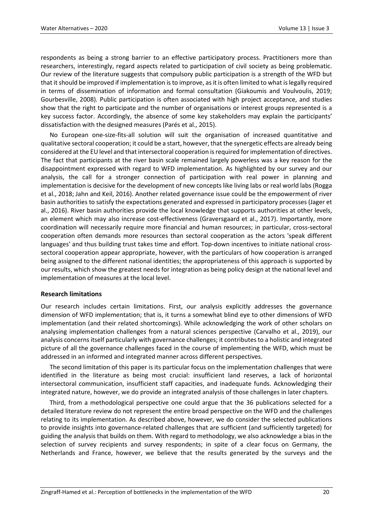respondents as being a strong barrier to an effective participatory process. Practitioners more than researchers, interestingly, regard aspects related to participation of civil society as being problematic. Our review of the literature suggests that compulsory public participation is a strength of the WFD but that it should be improved if implementation is to improve, as it is often limited to what is legally required in terms of dissemination of information and formal consultation (Giakoumis and Voulvoulis, 2019; Gourbesville, 2008). Public participation is often associated with high project acceptance, and studies show that the right to participate and the number of organisations or interest groups represented is a key success factor. Accordingly, the absence of some key stakeholders may explain the participants' dissatisfaction with the designed measures (Parés et al., 2015).

No European one-size-fits-all solution will suit the organisation of increased quantitative and qualitative sectoral cooperation; it could be a start, however, that the synergetic effects are already being considered at the EU level and that intersectoral cooperation is required for implementation of directives. The fact that participants at the river basin scale remained largely powerless was a key reason for the disappointment expressed with regard to WFD implementation. As highlighted by our survey and our analysis, the call for a stronger connection of participation with real power in planning and implementation is decisive for the development of new concepts like living labs or real world labs (Rogga et al., 2018; Jahn and Keil, 2016). Another related governance issue could be the empowerment of river basin authorities to satisfy the expectations generated and expressed in participatory processes (Jager et al., 2016). River basin authorities provide the local knowledge that supports authorities at other levels, an element which may also increase cost-effectiveness (Graversgaard et al., 2017). Importantly, more coordination will necessarily require more financial and human resources; in particular, cross-sectoral cooperation often demands more resources than sectoral cooperation as the actors 'speak different languages' and thus building trust takes time and effort. Top-down incentives to initiate national crosssectoral cooperation appear appropriate, however, with the particulars of how cooperation is arranged being assigned to the different national identities; the appropriateness of this approach is supported by our results, which show the greatest needs for integration as being policy design at the national level and implementation of measures at the local level.

## **Research limitations**

Our research includes certain limitations. First, our analysis explicitly addresses the governance dimension of WFD implementation; that is, it turns a somewhat blind eye to other dimensions of WFD implementation (and their related shortcomings). While acknowledging the work of other scholars on analysing implementation challenges from a natural sciences perspective (Carvalho et al., 2019), our analysis concerns itself particularly with governance challenges; it contributes to a holistic and integrated picture of all the governance challenges faced in the course of implementing the WFD, which must be addressed in an informed and integrated manner across different perspectives.

The second limitation of this paper is its particular focus on the implementation challenges that were identified in the literature as being most crucial: insufficient land reserves, a lack of horizontal intersectoral communication, insufficient staff capacities, and inadequate funds. Acknowledging their integrated nature, however, we do provide an integrated analysis of those challenges in later chapters.

Third, from a methodological perspective one could argue that the 36 publications selected for a detailed literature review do not represent the entire broad perspective on the WFD and the challenges relating to its implementation. As described above, however, we do consider the selected publications to provide insights into governance-related challenges that are sufficient (and sufficiently targeted) for guiding the analysis that builds on them. With regard to methodology, we also acknowledge a bias in the selection of survey recipients and survey respondents; in spite of a clear focus on Germany, the Netherlands and France, however, we believe that the results generated by the surveys and the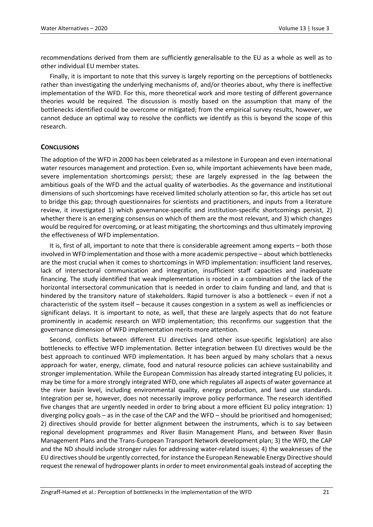recommendations derived from them are sufficiently generalisable to the EU as a whole as well as to other individual EU member states.

Finally, it is important to note that this survey is largely reporting on the perceptions of bottlenecks rather than investigating the underlying mechanisms of, and/or theories about, why there is ineffective implementation of the WFD. For this, more theoretical work and more testing of different governance theories would be required. The discussion is mostly based on the assumption that many of the bottlenecks identified could be overcome or mitigated; from the empirical survey results, however, we cannot deduce an optimal way to resolve the conflicts we identify as this is beyond the scope of this research.

## **CONCLUSIONS**

The adoption of the WFD in 2000 has been celebrated as a milestone in European and even international water resources management and protection. Even so, while important achievements have been made, severe implementation shortcomings persist; these are largely expressed in the lag between the ambitious goals of the WFD and the actual quality of waterbodies. As the governance and institutional dimensions of such shortcomings have received limited scholarly attention so far, this article has set out to bridge this gap; through questionnaires for scientists and practitioners, and inputs from a literature review, it investigated 1) which governance-specific and institution-specific shortcomings persist, 2) whether there is an emerging consensus on which of them are the most relevant, and 3) which changes would be required for overcoming, or at least mitigating, the shortcomings and thus ultimately improving the effectiveness of WFD implementation.

It is, first of all, important to note that there is considerable agreement among experts – both those involved in WFD implementation and those with a more academic perspective – about which bottlenecks are the most crucial when it comes to shortcomings in WFD implementation: insufficient land reserves, lack of intersectoral communication and integration, insufficient staff capacities and inadequate financing. The study identified that weak implementation is rooted in a combination of the lack of the horizontal intersectoral communication that is needed in order to claim funding and land, and that is hindered by the transitory nature of stakeholders. Rapid turnover is also a bottleneck – even if not a characteristic of the system itself – because it causes congestion in a system as well as inefficiencies or significant delays. It is important to note, as well, that these are largely aspects that do not feature prominently in academic research on WFD implementation; this reconfirms our suggestion that the governance dimension of WFD implementation merits more attention.

Second, conflicts between different EU directives (and other issue-specific legislation) are also bottlenecks to effective WFD implementation. Better integration between EU directives would be the best approach to continued WFD implementation. It has been argued by many scholars that a nexus approach for water, energy, climate, food and natural resource policies can achieve sustainability and stronger implementation. While the European Commission has already started integrating EU policies, it may be time for a more strongly integrated WFD, one which regulates all aspects of water governance at the river basin level, including environmental quality, energy production, and land use standards. Integration per se, however, does not necessarily improve policy performance. The research identified five changes that are urgently needed in order to bring about a more efficient EU policy integration: 1) diverging policy goals – as in the case of the CAP and the WFD – should be prioritised and homogenised; 2) directives should provide for better alignment between the instruments, which is to say between regional development programmes and River Basin Management Plans, and between River Basin Management Plans and the Trans-European Transport Network development plan; 3) the WFD, the CAP and the ND should include stronger rules for addressing water-related issues; 4) the weaknesses of the EU directives should be urgently corrected, for instance the European Renewable Energy Directive should request the renewal of hydropower plants in order to meet environmental goals instead of accepting the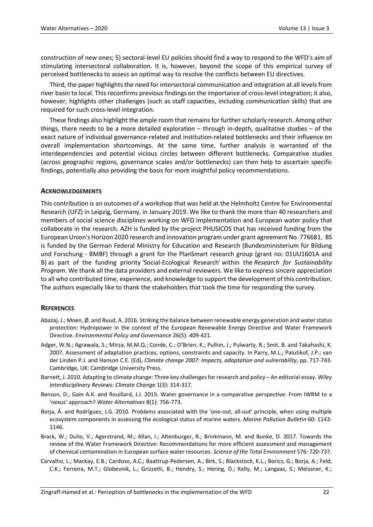construction of new ones; 5) sectoral-level EU policies should find a way to respond to the WFD's aim of stimulating intersectoral collaboration. It is, however, beyond the scope of this empirical survey of perceived bottlenecks to assess an optimal way to resolve the conflicts between EU directives.

Third, the paper highlights the need for intersectoral communication and integration at all levels from river basin to local. This reconfirms previous findings on the importance of cross-level integration; it also, however, highlights other challenges (such as staff capacities, including communication skills) that are required for such cross-level integration.

These findings also highlight the ample room that remains for further scholarly research. Among other things, there needs to be a more detailed exploration – through in-depth, qualitative studies – of the exact nature of individual governance-related and institution-related bottlenecks and their influence on overall implementation shortcomings. At the same time, further analysis is warranted of the interdependencies and potential vicious circles between different bottlenecks. Comparative studies (across geographic regions, governance scales and/or bottlenecks) can then help to ascertain specific findings, potentially also providing the basis for more insightful policy recommendations.

## **ACKNOWLEDGEMENTS**

This contribution is an outcomes of a workshop that was held at the Helmholtz Centre for Environmental Research (UFZ) in Leipzig, Germany, in January 2019. We like to thank the more than 40 researchers and members of social science disciplines working on WFD implementation and European water policy that collaborate in the research. AZH is funded by the project PHUSICOS that has received funding from the European Union's Horizon 2020 research and innovation program under grant agreement No. 776681. BS is funded by the German Federal Ministry for Education and Research (Bundesministerium für Bildung und Forschung - BMBF) through a grant for the PlanSmart research group (grant no: 01UU1601A and B) as part of the funding priority ['Social-Ecological Research'](http://www.fona.de/en/society) within the *[Research for Sustainability](https://www.fona.de/en/)  [Program](https://www.fona.de/en/)*. We thank all the data providers and external reviewers. We like to express sincere appreciation to all who contributed time, experience, and knowledge to support the development of this contribution. The authors especially like to thank the stakeholders that took the time for responding the survey.

#### **REFERENCES**

- Abazaj, J.; Moen, Ø. and Ruud, A. 2016. Striking the balance between renewable energy generation and water status protection: Hydropower in the context of the European Renewable Energy Directive and Water Framework Directive. *Environmental Policy and Governance* 26(5): 409-421.
- Adger, W.N.; Agrawala, S.; Mirza, M.M.Q.; Conde, C.; O'Brien, K.; Pulhin, J.; Pulwarty, R.; Smit, B. and Takahashi, K. 2007. Assessment of adaptation practices, options, constraints and capacity. In Parry, M.L.; Palutikof, J.P.; van der Linden P.J. and Hanson C.E. (Ed), *Climate change 2007: Impacts, adaptation and vulnerability*, pp. 717-743. Cambridge, UK: Cambridge University Press.
- Barnett, J. 2010. Adapting to climate change: Three key challenges for research and policy An editorial essay. *Wiley Interdisciplinary Reviews: Climate Change* 1(3): 314-317.
- Benson, D.; Gain A.K. and Rouillard, J.J. 2015. Water governance in a comparative perspective: From IWRM to a 'nexus' approach? *Water Alternatives* 8(1): 756-773.
- Borja, Á. and Rodríguez, J.G. 2010. Problems associated with the 'one-out, all-out' principle, when using multiple ecosystem components in assessing the ecological status of marine waters. *Marine Pollution Bulletin* 60: 1143- 1146.
- Brack, W.; Dulio, V.; Agerstrand, M.; Allan, I.; Altenburger, R.; Brinkmann, M. and Bunke, D. 2017. Towards the review of the Water Framework Directive: Recommendations for more efficient assessment and management of chemical contamination in European surface water resources. *Science of the Total Environment* 576: 720-737.
- Carvalho, L.; Mackay, E.B.; Cardoso, A.C.; Baattrup-Pedersen, A.; Birk, S.; Blackstock, K.L.; Borics, G.; Borja, A.; Feld, C.K.; Ferreira, M.T.; Globevnik, L.; Grizzetti, B.; Hendry, S.; Hering, D.; Kelly, M.; Langaas, S.; Meissner, K.;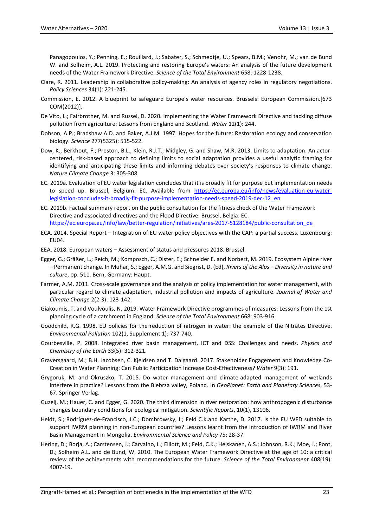Panagopoulos, Y.; Penning, E.; Rouillard, J.; Sabater, S.; Schmedtje, U.; Spears, B.M.; Venohr, M.; van de Bund W. and Solheim, A.L. 2019. Protecting and restoring Europe's waters: An analysis of the future development needs of the Water Framework Directive. *Science of the Total Environment* 658: 1228-1238.

- Clare, R. 2011. Leadership in collaborative policy-making: An analysis of agency roles in regulatory negotiations. *Policy Sciences* 34(1): 221-245.
- Commission, E. 2012. A blueprint to safeguard Europe's water resources. Brussels: European Commission.[673 COM(2012)].
- De Vito, L.; Fairbrother, M. and Russel, D. 2020. Implementing the Water Framework Directive and tackling diffuse pollution from agriculture: Lessons from England and Scotland. *Water* 12(1): 244.
- Dobson, A.P.; Bradshaw A.D. and Baker, A.J.M. 1997. Hopes for the future: Restoration ecology and conservation biology. *Science* 277(5325): 515-522.
- Dow, K.; Berkhout, F.; Preston, B.L.; Klein, R.J.T.; Midgley, G. and Shaw, M.R. 2013. Limits to adaptation: An actorcentered, risk-based approach to defining limits to social adaptation provides a useful analytic framing for identifying and anticipating these limits and informing debates over society's responses to climate change. *Nature Climate Change* 3: 305-308
- EC. 2019a. Evaluation of EU water legislation concludes that it is broadly fit for purpose but implementation needs to speed up. Brussel, Belgium: EC. Available from [https://ec.europa.eu/info/news/evaluation-eu-water](https://ec.europa.eu/info/news/evaluation-eu-water-legislation-concludes-it-broadly-fit-purpose-implementation-needs-speed-2019-dec-12_en)[legislation-concludes-it-broadly-fit-purpose-implementation-needs-speed-2019-dec-12\\_en](https://ec.europa.eu/info/news/evaluation-eu-water-legislation-concludes-it-broadly-fit-purpose-implementation-needs-speed-2019-dec-12_en)
- EC. 2019b. Factual summary report on the public consultation for the fitness check of the Water Framework Directive and associated directives and the Flood Directive. Brussel, Belgia: EC. [https://ec.europa.eu/info/law/better-regulation/initiatives/ares-2017-5128184/public-consultation\\_de](https://ec.europa.eu/info/law/better-regulation/initiatives/ares-2017-5128184/public-consultation_de)
- ECA. 2014. Special Report Integration of EU water policy objectives with the CAP: a partial success. Luxenbourg: EU04.
- EEA. 2018. European waters Assessment of status and pressures 2018. Brussel.
- Egger, G.; Gräßer, L.; Reich, M.; Komposch, C.; Dister, E.; Schneider E. and Norbert, M. 2019. Ecosystem Alpine river – Permanent change. In Muhar, S.; Egger, A.M.G. and Siegrist, D. (Ed), *Rivers of the Alps – Diversity in nature and culture*, pp. 511. Bern, Germany: Haupt.
- Farmer, A.M. 2011. Cross-scale governance and the analysis of policy implementation for water management, with particular regard to climate adaptation, industrial pollution and impacts of agriculture. *Journal of Water and Climate Change* 2(2-3): 123-142.
- Giakoumis, T. and Voulvoulis, N. 2019. Water Framework Directive programmes of measures: Lessons from the 1st planning cycle of a catchment in England. *Science of the Total Environment* 668: 903-916.
- Goodchild, R.G. 1998. EU policies for the reduction of nitrogen in water: the example of the Nitrates Directive. *Environmental Pollution* 102(1, Supplement 1): 737-740.
- Gourbesville, P. 2008. Integrated river basin management, ICT and DSS: Challenges and needs. *Physics and Chemistry of the Earth* 33(5): 312-321.
- Graversgaard, M.; B.H. Jacobsen, C. Kjeldsen and T. Dalgaard. 2017. Stakeholder Engagement and Knowledge Co-Creation in Water Planning: Can Public Participation Increase Cost-Effectiveness? *Water* 9(3): 191.
- Grygoruk, M. and Okruszko, T. 2015. Do water management and climate-adapted management of wetlands interfere in practice? Lessons from the Biebrza valley, Poland. In *GeoPlanet: Earth and Planetary Sciences*, 53- 67. Springer Verlag.
- Guzelj, M.; Hauer, C. and Egger, G. 2020. The third dimension in river restoration: how anthropogenic disturbance changes boundary conditions for ecological mitigation. *Scientific Reports*, 10(1), 13106.
- Heldt, S.; Rodríguez-de-Francisco, J.C.; Dombrowsky, I.; Feld C.K.and Karthe, D. 2017. Is the EU WFD suitable to support IWRM planning in non-European countries? Lessons learnt from the introduction of IWRM and River Basin Management in Mongolia. *Environmental Science and Policy* 75: 28-37.
- Hering, D.; Borja, A.; Carstensen, J.; Carvalho, L.; Elliott, M.; Feld, C.K.; Heiskanen, A.S.; Johnson, R.K.; Moe, J.; Pont, D.; Solheim A.L. and de Bund, W. 2010. The European Water Framework Directive at the age of 10: a critical review of the achievements with recommendations for the future. *Science of the Total Environment* 408(19): 4007-19.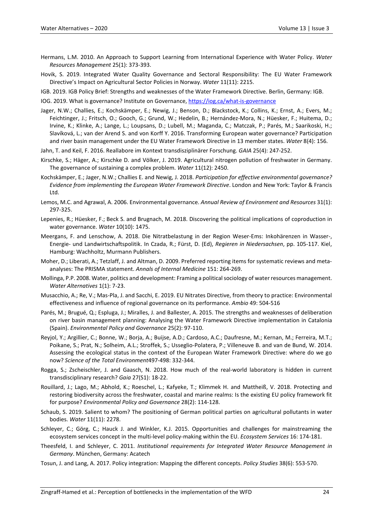- Hermans, L.M. 2010. An Approach to Support Learning from International Experience with Water Policy. *Water Resources Management* 25(1): 373-393.
- Hovik, S. 2019. Integrated Water Quality Governance and Sectoral Responsibility: The EU Water Framework Directive's Impact on Agricultural Sector Policies in Norway. *Water* 11(11): 2215.
- IGB. 2019. IGB Policy Brief: Strengths and weaknesses of the Water Framework Directive. Berlin, Germany: IGB.

IOG. 2019. What is governance? Institute on Governance, <https://iog.ca/what-is-governance>

- Jager, N.W.; Challies, E.; Kochskämper, E.; Newig, J.; Benson, D.; Blackstock, K.; Collins, K.; Ernst, A.; Evers, M.; Feichtinger, J.; Fritsch, O.; Gooch, G.; Grund, W.; Hedelin, B.; Hernández-Mora, N.; Hüesker, F.; Huitema, D.; Irvine, K.; Klinke, A.; Lange, L.; Loupsans, D.; Lubell, M.; Maganda, C.; Matczak, P.; Parés, M.; Saarikoski, H.; Slavíková, L.; van der Arend S. and von Korff Y. 2016. Transforming European water governance? Participation and river basin management under the EU Water Framework Directive in 13 member states. *Water* 8(4): 156.
- Jahn, T. and Keil, F. 2016. Reallabore im Kontext transdisziplinärer Forschung. *GAIA* 25(4): 247-252.
- Kirschke, S.; Häger, A.; Kirschke D. and Völker, J. 2019. Agricultural nitrogen pollution of freshwater in Germany. The governance of sustaining a complex problem. *Water* 11(12): 2450.
- Kochskämper, E.; Jager, N.W.; Challies E. and Newig, J. 2018. *Participation for effective environmental governance? Evidence from implementing the European Water Framework Directive*. London and New York: Taylor & Francis Ltd.
- Lemos, M.C. and Agrawal, A. 2006. Environmental governance. *Annual Review of Environment and Resources* 31(1): 297-325.
- Lepenies, R.; Hüesker, F.; Beck S. and Brugnach, M. 2018. Discovering the political implications of coproduction in water governance. *Water* 10(10): 1475.
- Meergans, F. and Lenschow, A. 2018. Die Nitratbelastung in der Region Weser-Ems: Inkohärenzen in Wasser-, Energie- und Landwirtschaftspolitik. In Czada, R.; Fürst, D. (Ed), *Regieren in Niedersachsen*, pp. 105-117. Kiel, Hamburg: Wachholtz, Murmann Publishers.
- Moher, D.; Liberati, A.; Tetzlaff, J. and Altman, D. 2009. Preferred reporting items for systematic reviews and metaanalyses: The PRISMA statement. *Annals of Internal Medicine* 151: 264-269.
- Mollinga, P.P. 2008. Water, politics and development: Framing a political sociology of water resources management. *Water Alternatives* 1(1): 7-23.
- Musacchio, A.; Re, V.; Mas-Pla, J. and Sacchi, E. 2019. EU Nitrates Directive, from theory to practice: Environmental effectiveness and influence of regional governance on its performance. *Ambio* 49: 504-516
- Parés, M.; Brugué, Q.; Espluga, J.; Miralles, J. and Ballester, A. 2015. The strengths and weaknesses of deliberation on river basin management planning: Analysing the Water Framework Directive implementation in Catalonia (Spain). *Environmental Policy and Governance* 25(2): 97-110.
- Reyjol, Y.; Argillier, C.; Bonne, W.; Borja, A.; Buijse, A.D.; Cardoso, A.C.; Daufresne, M.; Kernan, M.; Ferreira, M.T.; Poikane, S.; Prat, N.; Solheim, A.L.; Stroffek, S.; Usseglio-Polatera, P.; Villeneuve B. and van de Bund, W. 2014. Assessing the ecological status in the context of the European Water Framework Directive: where do we go now? *Science of the Total Environment*497-498: 332-344.
- Rogga, S.; Zscheischler, J. and Gaasch, N. 2018. How much of the real-world laboratory is hidden in current transdisciplinary research? *Gaia* 27(S1): 18-22.
- Rouillard, J.; Lago, M.; Abhold, K.; Roeschel, L.; Kafyeke, T.; Klimmek H. and Mattheiß, V. 2018. Protecting and restoring biodiversity across the freshwater, coastal and marine realms: Is the existing EU policy framework fit for purpose? *Environmental Policy and Governance* 28(2): 114-128.
- Schaub, S. 2019. Salient to whom? The positioning of German political parties on agricultural pollutants in water bodies. *Water* 11(11): 2278.
- Schleyer, C.; Görg, C.; Hauck J. and Winkler, K.J. 2015. Opportunities and challenges for mainstreaming the ecosystem services concept in the multi-level policy-making within the EU. *Ecosystem Services* 16: 174-181.
- Theesfeld, I. and Schleyer, C. 2011. *Institutional requirements for Integrated Water Resource Management in Germany*. München, Germany: Acatech
- Tosun, J. and Lang, A. 2017. Policy integration: Mapping the different concepts. *Policy Studies* 38(6): 553-570.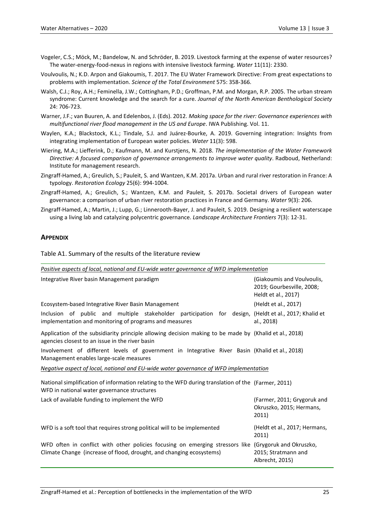- Vogeler, C.S.; Möck, M.; Bandelow, N. and Schröder, B. 2019. Livestock farming at the expense of water resources? The water-energy-food-nexus in regions with intensive livestock farming. *Water* 11(11): 2330.
- Voulvoulis, N.; K.D. Arpon and Giakoumis, T. 2017. The EU Water Framework Directive: From great expectations to problems with implementation. *Science of the Total Environment* 575: 358-366.
- Walsh, C.J.; Roy, A.H.; Feminella, J.W.; Cottingham, P.D.; Groffman, P.M. and Morgan, R.P. 2005. The urban stream syndrome: Current knowledge and the search for a cure. *Journal of the North American Benthological Society* 24: 706-723.
- Warner, J.F.; van Buuren, A. and Edelenbos, J. (Eds). 2012. *Making space for the river: Governance experiences with multifunctional river flood management in the US and Europe*. IWA Publishing. Vol. 11.
- Waylen, K.A.; Blackstock, K.L.; Tindale, S.J. and Juárez-Bourke, A. 2019. Governing integration: Insights from integrating implementation of European water policies. *Water* 11(3): 598.
- Wiering, M.A.; Liefferink, D.; Kaufmann, M. and Kurstjens, N. 2018. *The implementation of the Water Framework Directive: A focused comparison of governance arrangements to improve water quality*. Radboud, Netherland: Institute for management research.
- Zingraff-Hamed, A.; Greulich, S.; Pauleit, S. and Wantzen, K.M. 2017a. Urban and rural river restoration in France: A typology. *Restoration Ecology* 25(6): 994-1004.
- Zingraff-Hamed, A.; Greulich, S.; Wantzen, K.M. and Pauleit, S. 2017b. Societal drivers of European water governance: a comparison of urban river restoration practices in France and Germany. *Water* 9(3): 206.
- Zingraff-Hamed, A.; Martin, J.; Lupp, G.; Linnerooth-Bayer, J. and Pauleit, S. 2019. Designing a resilient waterscape using a living lab and catalyzing polycentric governance. *Landscape Architecture Frontiers* 7(3): 12-31.

## **APPENDIX**

Table A1. Summary of the results of the literature review

| Positive aspects of local, national and EU-wide water governance of WFD implementation                                                                                        |                                                                                |  |  |
|-------------------------------------------------------------------------------------------------------------------------------------------------------------------------------|--------------------------------------------------------------------------------|--|--|
| Integrative River basin Management paradigm                                                                                                                                   | (Giakoumis and Voulvoulis,<br>2019; Gourbesville, 2008;<br>Heldt et al., 2017) |  |  |
| Ecosystem-based Integrative River Basin Management                                                                                                                            | (Heldt et al., 2017)                                                           |  |  |
| Inclusion of public and multiple stakeholder participation for design, (Heldt et al., 2017; Khalid et<br>implementation and monitoring of programs and measures               | al., 2018)                                                                     |  |  |
| Application of the subsidiarity principle allowing decision making to be made by (Khalid et al., 2018)<br>agencies closest to an issue in the river basin                     |                                                                                |  |  |
| Involvement of different levels of government in Integrative River Basin (Khalid et al., 2018)<br>Management enables large-scale measures                                     |                                                                                |  |  |
| Negative aspect of local, national and EU-wide water governance of WFD implementation                                                                                         |                                                                                |  |  |
| National simplification of information relating to the WFD during translation of the (Farmer, 2011)<br>WFD in national water governance structures                            |                                                                                |  |  |
| Lack of available funding to implement the WFD                                                                                                                                | (Farmer, 2011; Grygoruk and<br>Okruszko, 2015; Hermans,<br>2011)               |  |  |
| WFD is a soft tool that requires strong political will to be implemented                                                                                                      | (Heldt et al., 2017; Hermans,<br>2011)                                         |  |  |
| WFD often in conflict with other policies focusing on emerging stressors like (Grygoruk and Okruszko,<br>Climate Change (increase of flood, drought, and changing ecosystems) | 2015; Stratmann and<br>Albrecht, 2015)                                         |  |  |